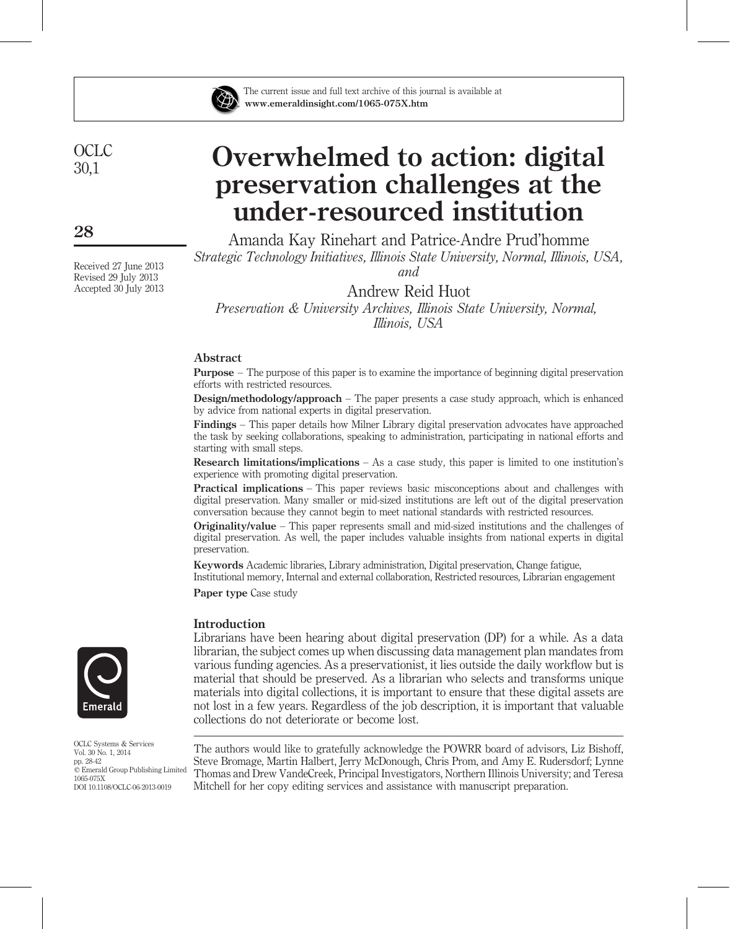

The current issue and full text archive of this journal is available at www.emeraldinsight.com/1065-075X.htm

OCLC 30,1

28

Received 27 June 2013 Revised 29 July 2013 Accepted 30 July 2013

# Overwhelmed to action: digital preservation challenges at the under-resourced institution

Amanda Kay Rinehart and Patrice-Andre Prud'homme Strategic Technology Initiatives, Illinois State University, Normal, Illinois, USA, and

Andrew Reid Huot

Preservation & University Archives, Illinois State University, Normal, Illinois, USA

# Abstract

Purpose – The purpose of this paper is to examine the importance of beginning digital preservation efforts with restricted resources.

**Design/methodology/approach** – The paper presents a case study approach, which is enhanced by advice from national experts in digital preservation.

Findings – This paper details how Milner Library digital preservation advocates have approached the task by seeking collaborations, speaking to administration, participating in national efforts and starting with small steps.

Research limitations/implications – As a case study, this paper is limited to one institution's experience with promoting digital preservation.

Practical implications – This paper reviews basic misconceptions about and challenges with digital preservation. Many smaller or mid-sized institutions are left out of the digital preservation conversation because they cannot begin to meet national standards with restricted resources.

Originality/value – This paper represents small and mid-sized institutions and the challenges of digital preservation. As well, the paper includes valuable insights from national experts in digital preservation.

Keywords Academic libraries, Library administration, Digital preservation, Change fatigue, Institutional memory, Internal and external collaboration, Restricted resources, Librarian engagement

Paper type Case study

## Introduction

:merald

OCLC Systems & Services Vol. 30 No. 1, 2014 pp. 28-42  $\degree$  Emerald Group Publishing Limited 1065-075X DOI 10.1108/OCLC-06-2013-0019

Librarians have been hearing about digital preservation (DP) for a while. As a data librarian, the subject comes up when discussing data management plan mandates from various funding agencies. As a preservationist, it lies outside the daily workflow but is material that should be preserved. As a librarian who selects and transforms unique materials into digital collections, it is important to ensure that these digital assets are not lost in a few years. Regardless of the job description, it is important that valuable collections do not deteriorate or become lost.

The authors would like to gratefully acknowledge the POWRR board of advisors, Liz Bishoff, Steve Bromage, Martin Halbert, Jerry McDonough, Chris Prom, and Amy E. Rudersdorf; Lynne Thomas and Drew VandeCreek, Principal Investigators, Northern Illinois University; and Teresa Mitchell for her copy editing services and assistance with manuscript preparation.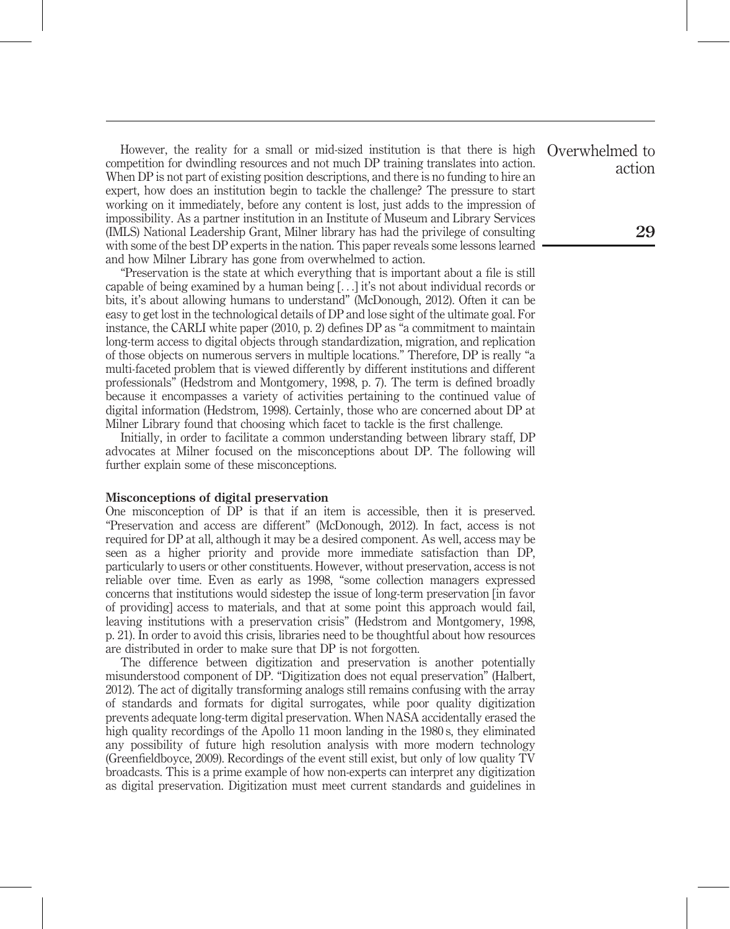However, the reality for a small or mid-sized institution is that there is high competition for dwindling resources and not much DP training translates into action. When DP is not part of existing position descriptions, and there is no funding to hire an expert, how does an institution begin to tackle the challenge? The pressure to start working on it immediately, before any content is lost, just adds to the impression of impossibility. As a partner institution in an Institute of Museum and Library Services (IMLS) National Leadership Grant, Milner library has had the privilege of consulting with some of the best DP experts in the nation. This paper reveals some lessons learned and how Milner Library has gone from overwhelmed to action.

"Preservation is the state at which everything that is important about a file is still capable of being examined by a human being [...] it's not about individual records or bits, it's about allowing humans to understand" (McDonough, 2012). Often it can be easy to get lost in the technological details of DP and lose sight of the ultimate goal. For instance, the CARLI white paper (2010, p. 2) defines DP as "a commitment to maintain long-term access to digital objects through standardization, migration, and replication of those objects on numerous servers in multiple locations." Therefore, DP is really "a multi-faceted problem that is viewed differently by different institutions and different professionals" (Hedstrom and Montgomery, 1998, p. 7). The term is defined broadly because it encompasses a variety of activities pertaining to the continued value of digital information (Hedstrom, 1998). Certainly, those who are concerned about DP at Milner Library found that choosing which facet to tackle is the first challenge.

Initially, in order to facilitate a common understanding between library staff, DP advocates at Milner focused on the misconceptions about DP. The following will further explain some of these misconceptions.

### Misconceptions of digital preservation

One misconception of DP is that if an item is accessible, then it is preserved. "Preservation and access are different" (McDonough, 2012). In fact, access is not required for DP at all, although it may be a desired component. As well, access may be seen as a higher priority and provide more immediate satisfaction than DP, particularly to users or other constituents. However, without preservation, access is not reliable over time. Even as early as 1998, "some collection managers expressed concerns that institutions would sidestep the issue of long-term preservation [in favor of providing] access to materials, and that at some point this approach would fail, leaving institutions with a preservation crisis" (Hedstrom and Montgomery, 1998, p. 21). In order to avoid this crisis, libraries need to be thoughtful about how resources are distributed in order to make sure that DP is not forgotten.

The difference between digitization and preservation is another potentially misunderstood component of DP. "Digitization does not equal preservation" (Halbert, 2012). The act of digitally transforming analogs still remains confusing with the array of standards and formats for digital surrogates, while poor quality digitization prevents adequate long-term digital preservation. When NASA accidentally erased the high quality recordings of the Apollo 11 moon landing in the 1980 s, they eliminated any possibility of future high resolution analysis with more modern technology (Greenfieldboyce, 2009). Recordings of the event still exist, but only of low quality TV broadcasts. This is a prime example of how non-experts can interpret any digitization as digital preservation. Digitization must meet current standards and guidelines in

Overwhelmed to action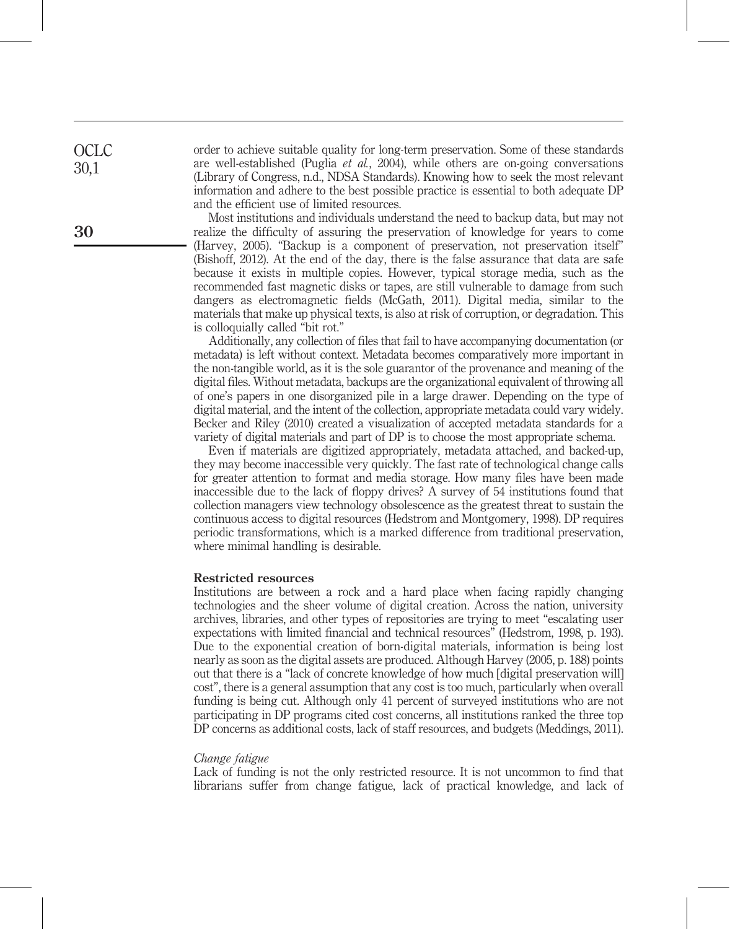order to achieve suitable quality for long-term preservation. Some of these standards are well-established (Puglia  $et \ al., 2004$ ), while others are on-going conversations (Library of Congress, n.d., NDSA Standards). Knowing how to seek the most relevant information and adhere to the best possible practice is essential to both adequate DP and the efficient use of limited resources.

Most institutions and individuals understand the need to backup data, but may not realize the difficulty of assuring the preservation of knowledge for years to come (Harvey, 2005). "Backup is a component of preservation, not preservation itself" (Bishoff, 2012). At the end of the day, there is the false assurance that data are safe because it exists in multiple copies. However, typical storage media, such as the recommended fast magnetic disks or tapes, are still vulnerable to damage from such dangers as electromagnetic fields (McGath, 2011). Digital media, similar to the materials that make up physical texts, is also at risk of corruption, or degradation. This is colloquially called "bit rot."

Additionally, any collection of files that fail to have accompanying documentation (or metadata) is left without context. Metadata becomes comparatively more important in the non-tangible world, as it is the sole guarantor of the provenance and meaning of the digital files. Without metadata, backups are the organizational equivalent of throwing all of one's papers in one disorganized pile in a large drawer. Depending on the type of digital material, and the intent of the collection, appropriate metadata could vary widely. Becker and Riley (2010) created a visualization of accepted metadata standards for a variety of digital materials and part of DP is to choose the most appropriate schema.

Even if materials are digitized appropriately, metadata attached, and backed-up, they may become inaccessible very quickly. The fast rate of technological change calls for greater attention to format and media storage. How many files have been made inaccessible due to the lack of floppy drives? A survey of 54 institutions found that collection managers view technology obsolescence as the greatest threat to sustain the continuous access to digital resources (Hedstrom and Montgomery, 1998). DP requires periodic transformations, which is a marked difference from traditional preservation, where minimal handling is desirable.

### Restricted resources

Institutions are between a rock and a hard place when facing rapidly changing technologies and the sheer volume of digital creation. Across the nation, university archives, libraries, and other types of repositories are trying to meet "escalating user expectations with limited financial and technical resources" (Hedstrom, 1998, p. 193). Due to the exponential creation of born-digital materials, information is being lost nearly as soon as the digital assets are produced. Although Harvey (2005, p. 188) points out that there is a "lack of concrete knowledge of how much [digital preservation will] cost", there is a general assumption that any cost is too much, particularly when overall funding is being cut. Although only 41 percent of surveyed institutions who are not participating in DP programs cited cost concerns, all institutions ranked the three top DP concerns as additional costs, lack of staff resources, and budgets (Meddings, 2011).

#### Change fatigue

Lack of funding is not the only restricted resource. It is not uncommon to find that librarians suffer from change fatigue, lack of practical knowledge, and lack of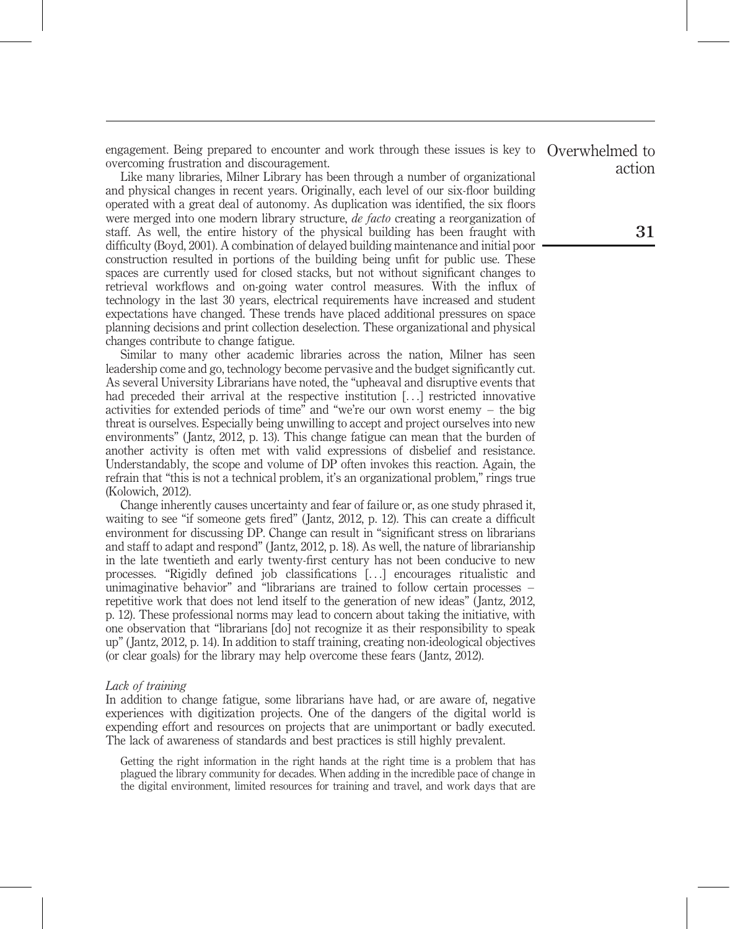engagement. Being prepared to encounter and work through these issues is key to Overwhelmed to overcoming frustration and discouragement.

Like many libraries, Milner Library has been through a number of organizational and physical changes in recent years. Originally, each level of our six-floor building operated with a great deal of autonomy. As duplication was identified, the six floors were merged into one modern library structure, de facto creating a reorganization of staff. As well, the entire history of the physical building has been fraught with difficulty (Boyd, 2001). A combination of delayed building maintenance and initial poor construction resulted in portions of the building being unfit for public use. These spaces are currently used for closed stacks, but not without significant changes to retrieval workflows and on-going water control measures. With the influx of technology in the last 30 years, electrical requirements have increased and student expectations have changed. These trends have placed additional pressures on space planning decisions and print collection deselection. These organizational and physical changes contribute to change fatigue.

Similar to many other academic libraries across the nation, Milner has seen leadership come and go, technology become pervasive and the budget significantly cut. As several University Librarians have noted, the "upheaval and disruptive events that had preceded their arrival at the respective institution [...] restricted innovative activities for extended periods of time" and "we're our own worst enemy – the big threat is ourselves. Especially being unwilling to accept and project ourselves into new environments" (Jantz, 2012, p. 13). This change fatigue can mean that the burden of another activity is often met with valid expressions of disbelief and resistance. Understandably, the scope and volume of DP often invokes this reaction. Again, the refrain that "this is not a technical problem, it's an organizational problem," rings true (Kolowich, 2012).

Change inherently causes uncertainty and fear of failure or, as one study phrased it, waiting to see "if someone gets fired" (Jantz, 2012, p. 12). This can create a difficult environment for discussing DP. Change can result in "significant stress on librarians and staff to adapt and respond" (Jantz, 2012, p. 18). As well, the nature of librarianship in the late twentieth and early twenty-first century has not been conducive to new processes. "Rigidly defined job classifications [...] encourages ritualistic and unimaginative behavior" and "librarians are trained to follow certain processes – repetitive work that does not lend itself to the generation of new ideas" (Jantz, 2012, p. 12). These professional norms may lead to concern about taking the initiative, with one observation that "librarians [do] not recognize it as their responsibility to speak up" (Jantz, 2012, p. 14). In addition to staff training, creating non-ideological objectives (or clear goals) for the library may help overcome these fears (Jantz, 2012).

#### Lack of training

In addition to change fatigue, some librarians have had, or are aware of, negative experiences with digitization projects. One of the dangers of the digital world is expending effort and resources on projects that are unimportant or badly executed. The lack of awareness of standards and best practices is still highly prevalent.

Getting the right information in the right hands at the right time is a problem that has plagued the library community for decades. When adding in the incredible pace of change in the digital environment, limited resources for training and travel, and work days that are

action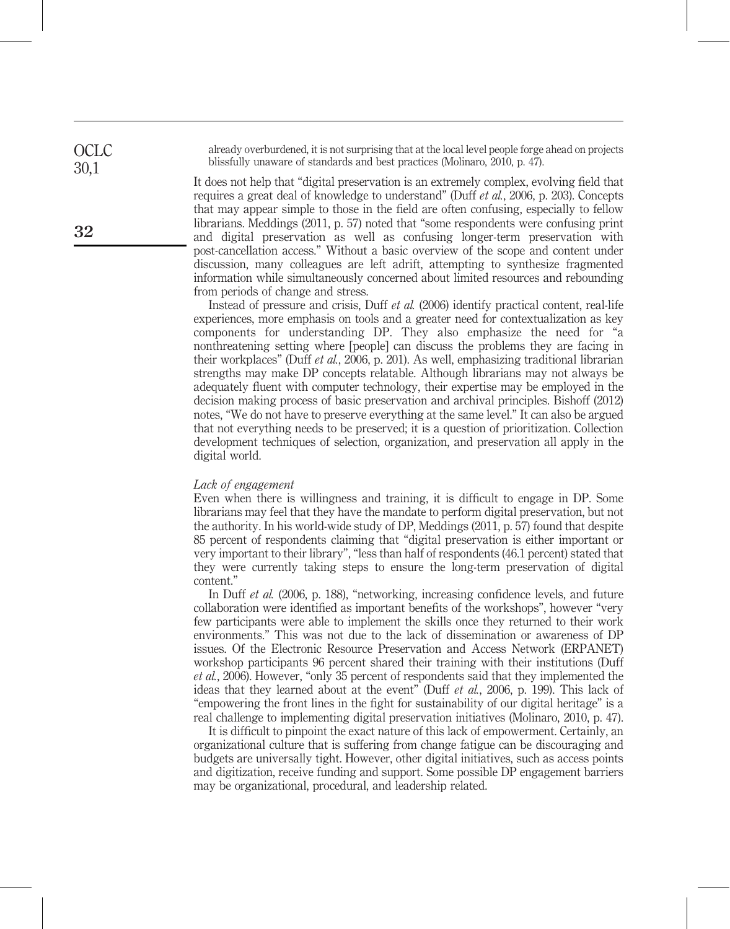already overburdened, it is not surprising that at the local level people forge ahead on projects blissfully unaware of standards and best practices (Molinaro, 2010, p. 47).

It does not help that "digital preservation is an extremely complex, evolving field that requires a great deal of knowledge to understand" (Duff et al., 2006, p. 203). Concepts that may appear simple to those in the field are often confusing, especially to fellow librarians. Meddings (2011, p. 57) noted that "some respondents were confusing print and digital preservation as well as confusing longer-term preservation with post-cancellation access." Without a basic overview of the scope and content under discussion, many colleagues are left adrift, attempting to synthesize fragmented information while simultaneously concerned about limited resources and rebounding from periods of change and stress.

Instead of pressure and crisis, Duff et al. (2006) identify practical content, real-life experiences, more emphasis on tools and a greater need for contextualization as key components for understanding DP. They also emphasize the need for "a nonthreatening setting where [people] can discuss the problems they are facing in their workplaces" (Duff et al., 2006, p. 201). As well, emphasizing traditional librarian strengths may make DP concepts relatable. Although librarians may not always be adequately fluent with computer technology, their expertise may be employed in the decision making process of basic preservation and archival principles. Bishoff (2012) notes, "We do not have to preserve everything at the same level." It can also be argued that not everything needs to be preserved; it is a question of prioritization. Collection development techniques of selection, organization, and preservation all apply in the digital world.

#### Lack of engagement

Even when there is willingness and training, it is difficult to engage in DP. Some librarians may feel that they have the mandate to perform digital preservation, but not the authority. In his world-wide study of DP, Meddings (2011, p. 57) found that despite 85 percent of respondents claiming that "digital preservation is either important or very important to their library", "less than half of respondents (46.1 percent) stated that they were currently taking steps to ensure the long-term preservation of digital content."

In Duff et al. (2006, p. 188), "networking, increasing confidence levels, and future collaboration were identified as important benefits of the workshops", however "very few participants were able to implement the skills once they returned to their work environments." This was not due to the lack of dissemination or awareness of DP issues. Of the Electronic Resource Preservation and Access Network (ERPANET) workshop participants 96 percent shared their training with their institutions (Duff et al., 2006). However, "only 35 percent of respondents said that they implemented the ideas that they learned about at the event" (Duff et al., 2006, p. 199). This lack of "empowering the front lines in the fight for sustainability of our digital heritage" is a real challenge to implementing digital preservation initiatives (Molinaro, 2010, p. 47).

It is difficult to pinpoint the exact nature of this lack of empowerment. Certainly, an organizational culture that is suffering from change fatigue can be discouraging and budgets are universally tight. However, other digital initiatives, such as access points and digitization, receive funding and support. Some possible DP engagement barriers may be organizational, procedural, and leadership related.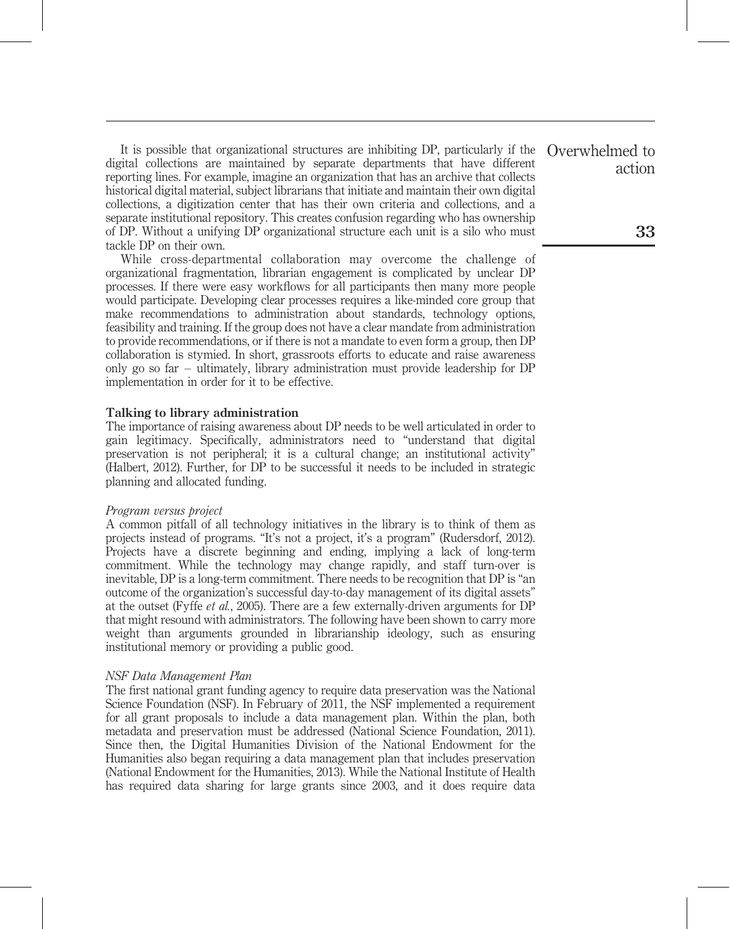It is possible that organizational structures are inhibiting DP, particularly if the digital collections are maintained by separate departments that have different reporting lines. For example, imagine an organization that has an archive that collects historical digital material, subject librarians that initiate and maintain their own digital collections, a digitization center that has their own criteria and collections, and a separate institutional repository. This creates confusion regarding who has ownership of DP. Without a unifying DP organizational structure each unit is a silo who must tackle DP on their own.

While cross-departmental collaboration may overcome the challenge of organizational fragmentation, librarian engagement is complicated by unclear DP processes. If there were easy workflows for all participants then many more people would participate. Developing clear processes requires a like-minded core group that make recommendations to administration about standards, technology options, feasibility and training. If the group does not have a clear mandate from administration to provide recommendations, or if there is not a mandate to even form a group, then DP collaboration is stymied. In short, grassroots efforts to educate and raise awareness only go so far – ultimately, library administration must provide leadership for DP implementation in order for it to be effective.

#### Talking to library administration

The importance of raising awareness about DP needs to be well articulated in order to gain legitimacy. Specifically, administrators need to "understand that digital preservation is not peripheral; it is a cultural change; an institutional activity" (Halbert, 2012). Further, for DP to be successful it needs to be included in strategic planning and allocated funding.

#### Program versus project

A common pitfall of all technology initiatives in the library is to think of them as projects instead of programs. "It's not a project, it's a program" (Rudersdorf, 2012). Projects have a discrete beginning and ending, implying a lack of long-term commitment. While the technology may change rapidly, and staff turn-over is inevitable, DP is a long-term commitment. There needs to be recognition that DP is "an outcome of the organization's successful day-to-day management of its digital assets" at the outset (Fyffe et al., 2005). There are a few externally-driven arguments for DP that might resound with administrators. The following have been shown to carry more weight than arguments grounded in librarianship ideology, such as ensuring institutional memory or providing a public good.

## NSF Data Management Plan

The first national grant funding agency to require data preservation was the National Science Foundation (NSF). In February of 2011, the NSF implemented a requirement for all grant proposals to include a data management plan. Within the plan, both metadata and preservation must be addressed (National Science Foundation, 2011). Since then, the Digital Humanities Division of the National Endowment for the Humanities also began requiring a data management plan that includes preservation (National Endowment for the Humanities, 2013). While the National Institute of Health has required data sharing for large grants since 2003, and it does require data

Overwhelmed to action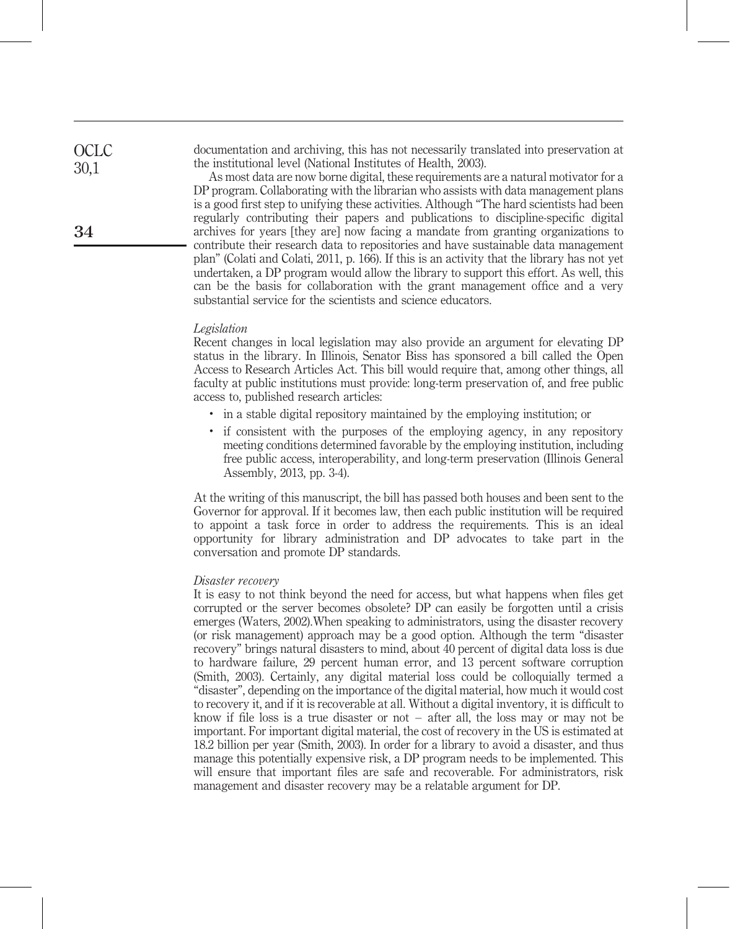| OCLC | documentation and archiving, this has not necessarily translated into preservation at        |
|------|----------------------------------------------------------------------------------------------|
| 30,1 | the institutional level (National Institutes of Health, 2003).                               |
|      | As most data are now borne digital, these requirements are a natural motivator for a         |
|      | DP program. Collaborating with the librarian who assists with data management plans          |
|      | is a good first step to unifying these activities. Although "The hard scientists had been    |
|      | regularly contributing their papers and publications to discipline-specific digital          |
| 34   | archives for years [they are] now facing a mandate from granting organizations to            |
|      | contribute their research data to repositories and have sustainable data management          |
|      | plan" (Colati and Colati, 2011, p. 166). If this is an activity that the library has not yet |
|      | undertaken, a DP program would allow the library to support this effort. As well, this       |

substantial service for the scientists and science educators.

# Legislation

Recent changes in local legislation may also provide an argument for elevating DP status in the library. In Illinois, Senator Biss has sponsored a bill called the Open Access to Research Articles Act. This bill would require that, among other things, all faculty at public institutions must provide: long-term preservation of, and free public access to, published research articles:

can be the basis for collaboration with the grant management office and a very

- . in a stable digital repository maintained by the employing institution; or
- . if consistent with the purposes of the employing agency, in any repository meeting conditions determined favorable by the employing institution, including free public access, interoperability, and long-term preservation (Illinois General Assembly, 2013, pp. 3-4).

At the writing of this manuscript, the bill has passed both houses and been sent to the Governor for approval. If it becomes law, then each public institution will be required to appoint a task force in order to address the requirements. This is an ideal opportunity for library administration and DP advocates to take part in the conversation and promote DP standards.

#### Disaster recovery

It is easy to not think beyond the need for access, but what happens when files get corrupted or the server becomes obsolete? DP can easily be forgotten until a crisis emerges (Waters, 2002).When speaking to administrators, using the disaster recovery (or risk management) approach may be a good option. Although the term "disaster recovery" brings natural disasters to mind, about 40 percent of digital data loss is due to hardware failure, 29 percent human error, and 13 percent software corruption (Smith, 2003). Certainly, any digital material loss could be colloquially termed a "disaster", depending on the importance of the digital material, how much it would cost to recovery it, and if it is recoverable at all. Without a digital inventory, it is difficult to know if file loss is a true disaster or not – after all, the loss may or may not be important. For important digital material, the cost of recovery in the US is estimated at 18.2 billion per year (Smith, 2003). In order for a library to avoid a disaster, and thus manage this potentially expensive risk, a DP program needs to be implemented. This will ensure that important files are safe and recoverable. For administrators, risk management and disaster recovery may be a relatable argument for DP.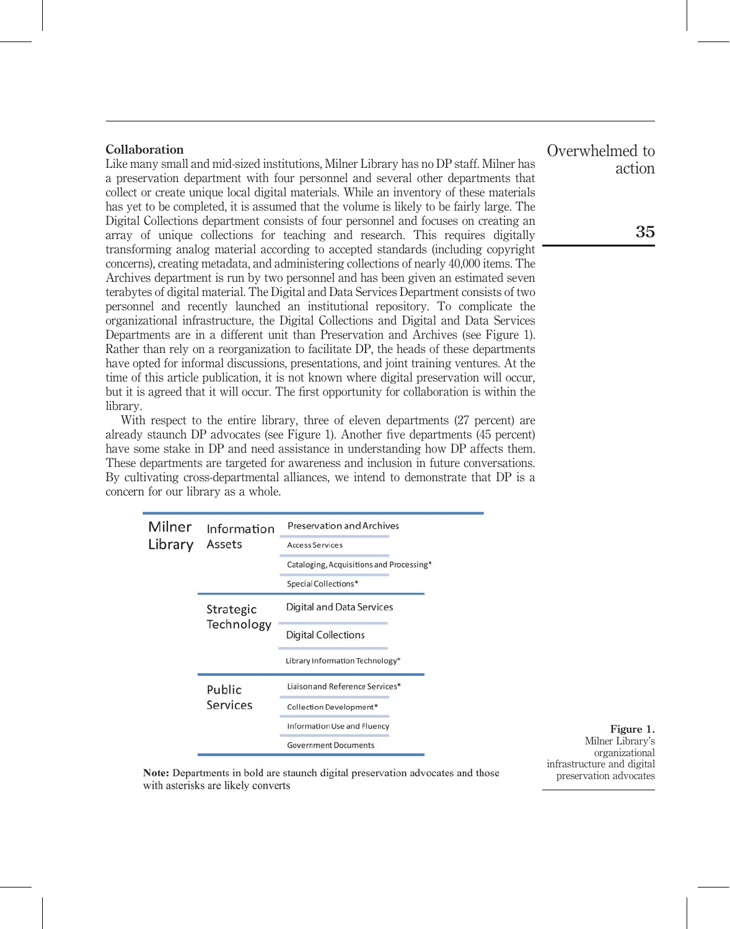# Collaboration

Like many small and mid-sized institutions, Milner Library has no DP staff. Milner has a preservation department with four personnel and several other departments that collect or create unique local digital materials. While an inventory of these materials has yet to be completed, it is assumed that the volume is likely to be fairly large. The Digital Collections department consists of four personnel and focuses on creating an array of unique collections for teaching and research. This requires digitally transforming analog material according to accepted standards (including copyright concerns), creating metadata, and administering collections of nearly 40,000 items. The Archives department is run by two personnel and has been given an estimated seven terabytes of digital material. The Digital and Data Services Department consists of two personnel and recently launched an institutional repository. To complicate the organizational infrastructure, the Digital Collections and Digital and Data Services Departments are in a different unit than Preservation and Archives (see Figure 1). Rather than rely on a reorganization to facilitate DP, the heads of these departments have opted for informal discussions, presentations, and joint training ventures. At the time of this article publication, it is not known where digital preservation will occur, but it is agreed that it will occur. The first opportunity for collaboration is within the library.

With respect to the entire library, three of eleven departments (27 percent) are already staunch DP advocates (see Figure 1). Another five departments (45 percent) have some stake in DP and need assistance in understanding how DP affects them. These departments are targeted for awareness and inclusion in future conversations. By cultivating cross-departmental alliances, we intend to demonstrate that DP is a concern for our library as a whole.

| Milner<br>Library | Information<br>Assets   | Preservation and Archives                |
|-------------------|-------------------------|------------------------------------------|
|                   |                         | <b>Access Services</b>                   |
|                   |                         | Cataloging, Acquisitions and Processing* |
|                   |                         | Special Collections*                     |
|                   | Strategic<br>Technology | Digital and Data Services                |
|                   |                         | <b>Digital Collections</b>               |
|                   |                         | Library Information Technology*          |
|                   | Public<br>Services      | Liaison and Reference Services*          |
|                   |                         | Collection Development*                  |
|                   |                         | Information Use and Fluency              |
|                   |                         | <b>Government Documents</b>              |

Figure 1. Milner Library's organizational infrastructure and digital preservation advocates

Note: Departments in bold are staunch digital preservation advocates and those with asterisks are likely converts

Overwhelmed to action

35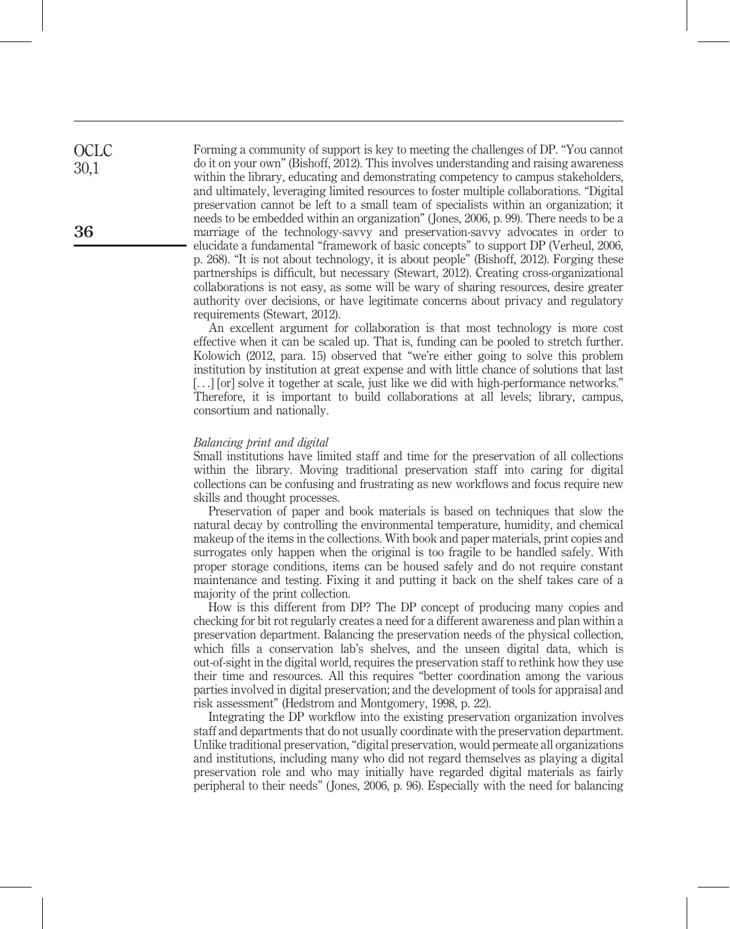Forming a community of support is key to meeting the challenges of DP. "You cannot do it on your own" (Bishoff, 2012). This involves understanding and raising awareness within the library, educating and demonstrating competency to campus stakeholders, and ultimately, leveraging limited resources to foster multiple collaborations. "Digital preservation cannot be left to a small team of specialists within an organization; it needs to be embedded within an organization" (Jones, 2006, p. 99). There needs to be a marriage of the technology-savvy and preservation-savvy advocates in order to elucidate a fundamental "framework of basic concepts" to support DP (Verheul, 2006, p. 268). "It is not about technology, it is about people" (Bishoff, 2012). Forging these partnerships is difficult, but necessary (Stewart, 2012). Creating cross-organizational collaborations is not easy, as some will be wary of sharing resources, desire greater authority over decisions, or have legitimate concerns about privacy and regulatory requirements (Stewart, 2012).

An excellent argument for collaboration is that most technology is more cost effective when it can be scaled up. That is, funding can be pooled to stretch further. Kolowich (2012, para. 15) observed that "we're either going to solve this problem institution by institution at great expense and with little chance of solutions that last [...] [or] solve it together at scale, just like we did with high-performance networks." Therefore, it is important to build collaborations at all levels; library, campus, consortium and nationally.

#### Balancing print and digital

Small institutions have limited staff and time for the preservation of all collections within the library. Moving traditional preservation staff into caring for digital collections can be confusing and frustrating as new workflows and focus require new skills and thought processes.

Preservation of paper and book materials is based on techniques that slow the natural decay by controlling the environmental temperature, humidity, and chemical makeup of the items in the collections. With book and paper materials, print copies and surrogates only happen when the original is too fragile to be handled safely. With proper storage conditions, items can be housed safely and do not require constant maintenance and testing. Fixing it and putting it back on the shelf takes care of a majority of the print collection.

How is this different from DP? The DP concept of producing many copies and checking for bit rot regularly creates a need for a different awareness and plan within a preservation department. Balancing the preservation needs of the physical collection, which fills a conservation lab's shelves, and the unseen digital data, which is out-of-sight in the digital world, requires the preservation staff to rethink how they use their time and resources. All this requires "better coordination among the various parties involved in digital preservation; and the development of tools for appraisal and risk assessment" (Hedstrom and Montgomery, 1998, p. 22).

Integrating the DP workflow into the existing preservation organization involves staff and departments that do not usually coordinate with the preservation department. Unlike traditional preservation, "digital preservation, would permeate all organizations and institutions, including many who did not regard themselves as playing a digital preservation role and who may initially have regarded digital materials as fairly peripheral to their needs" (Jones, 2006, p. 96). Especially with the need for balancing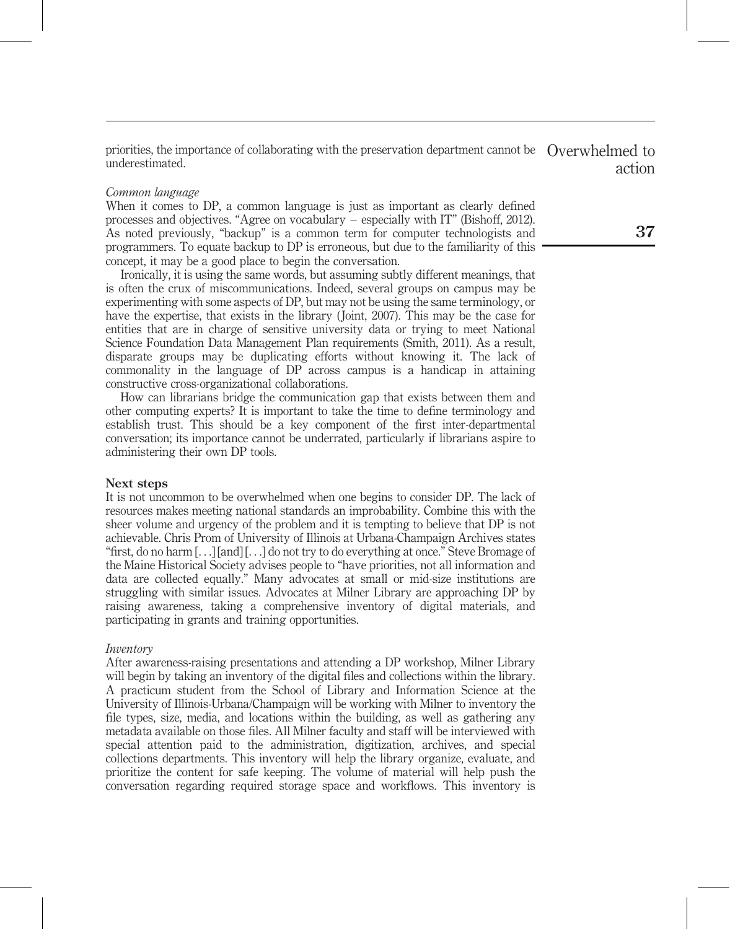priorities, the importance of collaborating with the preservation department cannot be Overwhelmed to underestimated. action

#### Common language

When it comes to DP, a common language is just as important as clearly defined processes and objectives. "Agree on vocabulary – especially with IT" (Bishoff, 2012). As noted previously, "backup" is a common term for computer technologists and programmers. To equate backup to DP is erroneous, but due to the familiarity of this concept, it may be a good place to begin the conversation.

Ironically, it is using the same words, but assuming subtly different meanings, that is often the crux of miscommunications. Indeed, several groups on campus may be experimenting with some aspects of DP, but may not be using the same terminology, or have the expertise, that exists in the library (Joint, 2007). This may be the case for entities that are in charge of sensitive university data or trying to meet National Science Foundation Data Management Plan requirements (Smith, 2011). As a result, disparate groups may be duplicating efforts without knowing it. The lack of commonality in the language of DP across campus is a handicap in attaining constructive cross-organizational collaborations.

How can librarians bridge the communication gap that exists between them and other computing experts? It is important to take the time to define terminology and establish trust. This should be a key component of the first inter-departmental conversation; its importance cannot be underrated, particularly if librarians aspire to administering their own DP tools.

## Next steps

It is not uncommon to be overwhelmed when one begins to consider DP. The lack of resources makes meeting national standards an improbability. Combine this with the sheer volume and urgency of the problem and it is tempting to believe that DP is not achievable. Chris Prom of University of Illinois at Urbana-Champaign Archives states "first, do no harm [...] [and] [...] do not try to do everything at once." Steve Bromage of the Maine Historical Society advises people to "have priorities, not all information and data are collected equally." Many advocates at small or mid-size institutions are struggling with similar issues. Advocates at Milner Library are approaching DP by raising awareness, taking a comprehensive inventory of digital materials, and participating in grants and training opportunities.

#### Inventory

After awareness-raising presentations and attending a DP workshop, Milner Library will begin by taking an inventory of the digital files and collections within the library. A practicum student from the School of Library and Information Science at the University of Illinois-Urbana/Champaign will be working with Milner to inventory the file types, size, media, and locations within the building, as well as gathering any metadata available on those files. All Milner faculty and staff will be interviewed with special attention paid to the administration, digitization, archives, and special collections departments. This inventory will help the library organize, evaluate, and prioritize the content for safe keeping. The volume of material will help push the conversation regarding required storage space and workflows. This inventory is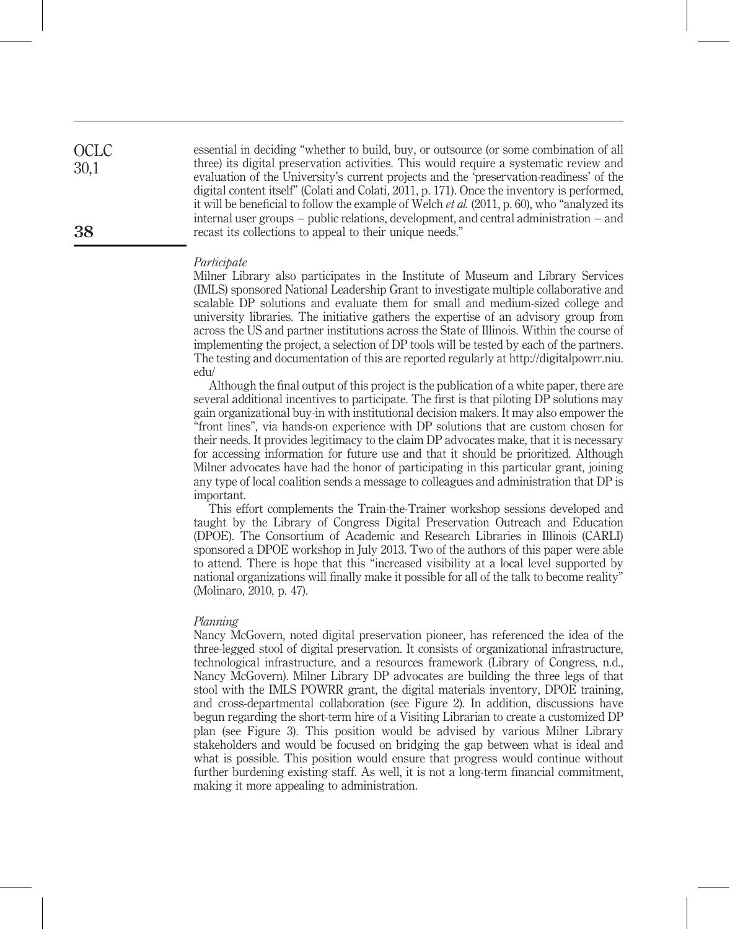OCLC 30,1

essential in deciding "whether to build, buy, or outsource (or some combination of all three) its digital preservation activities. This would require a systematic review and evaluation of the University's current projects and the 'preservation-readiness' of the digital content itself" (Colati and Colati, 2011, p. 171). Once the inventory is performed, it will be beneficial to follow the example of Welch et al. (2011, p. 60), who "analyzed its internal user groups – public relations, development, and central administration – and recast its collections to appeal to their unique needs."

#### Participate

Milner Library also participates in the Institute of Museum and Library Services (IMLS) sponsored National Leadership Grant to investigate multiple collaborative and scalable DP solutions and evaluate them for small and medium-sized college and university libraries. The initiative gathers the expertise of an advisory group from across the US and partner institutions across the State of Illinois. Within the course of implementing the project, a selection of DP tools will be tested by each of the partners. The testing and documentation of this are reported regularly at http://digitalpowrr.niu. edu/

Although the final output of this project is the publication of a white paper, there are several additional incentives to participate. The first is that piloting DP solutions may gain organizational buy-in with institutional decision makers. It may also empower the "front lines", via hands-on experience with DP solutions that are custom chosen for their needs. It provides legitimacy to the claim DP advocates make, that it is necessary for accessing information for future use and that it should be prioritized. Although Milner advocates have had the honor of participating in this particular grant, joining any type of local coalition sends a message to colleagues and administration that DP is important.

This effort complements the Train-the-Trainer workshop sessions developed and taught by the Library of Congress Digital Preservation Outreach and Education (DPOE). The Consortium of Academic and Research Libraries in Illinois (CARLI) sponsored a DPOE workshop in July 2013. Two of the authors of this paper were able to attend. There is hope that this "increased visibility at a local level supported by national organizations will finally make it possible for all of the talk to become reality" (Molinaro, 2010, p. 47).

#### Planning

Nancy McGovern, noted digital preservation pioneer, has referenced the idea of the three-legged stool of digital preservation. It consists of organizational infrastructure, technological infrastructure, and a resources framework (Library of Congress, n.d., Nancy McGovern). Milner Library DP advocates are building the three legs of that stool with the IMLS POWRR grant, the digital materials inventory, DPOE training, and cross-departmental collaboration (see Figure 2). In addition, discussions have begun regarding the short-term hire of a Visiting Librarian to create a customized DP plan (see Figure 3). This position would be advised by various Milner Library stakeholders and would be focused on bridging the gap between what is ideal and what is possible. This position would ensure that progress would continue without further burdening existing staff. As well, it is not a long-term financial commitment, making it more appealing to administration.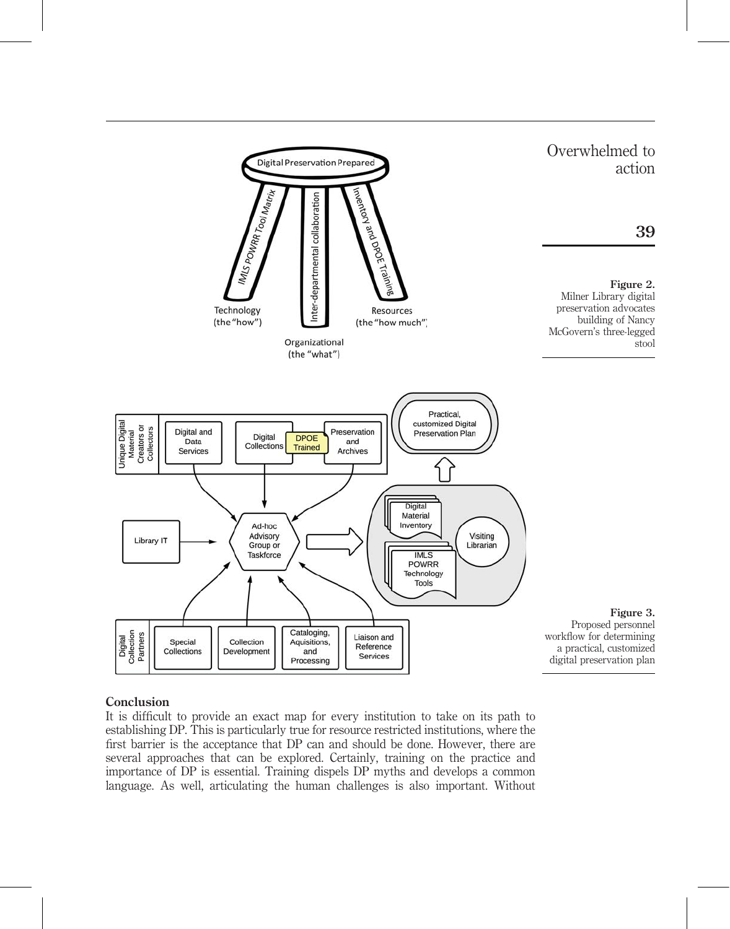

# Conclusion

It is difficult to provide an exact map for every institution to take on its path to establishing DP. This is particularly true for resource restricted institutions, where the first barrier is the acceptance that DP can and should be done. However, there are several approaches that can be explored. Certainly, training on the practice and importance of DP is essential. Training dispels DP myths and develops a common language. As well, articulating the human challenges is also important. Without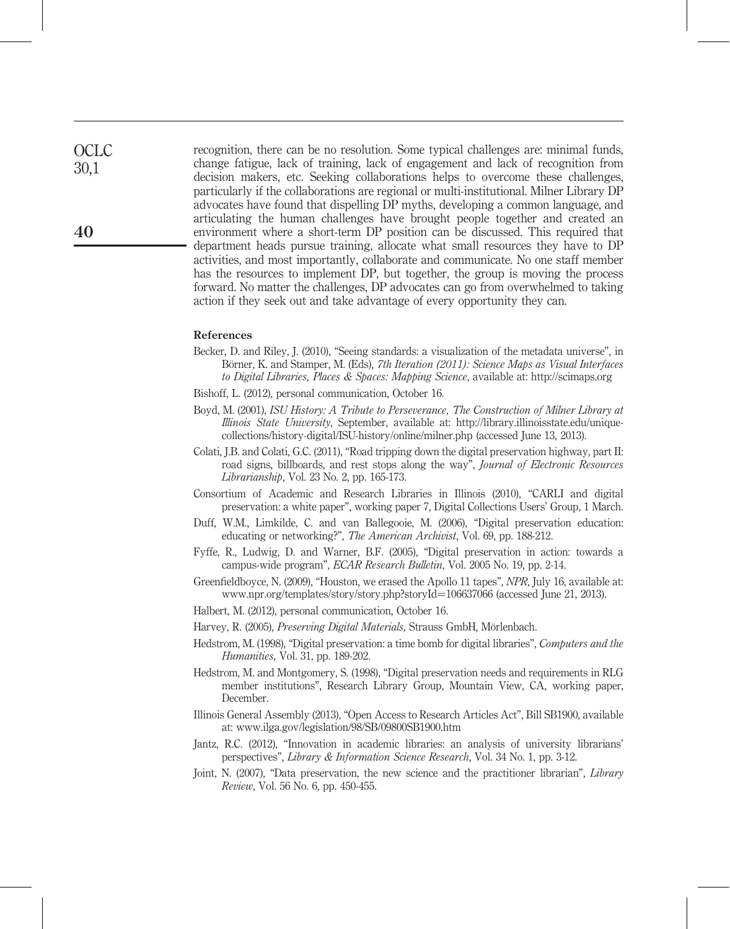recognition, there can be no resolution. Some typical challenges are: minimal funds, change fatigue, lack of training, lack of engagement and lack of recognition from decision makers, etc. Seeking collaborations helps to overcome these challenges, particularly if the collaborations are regional or multi-institutional. Milner Library DP advocates have found that dispelling DP myths, developing a common language, and articulating the human challenges have brought people together and created an environment where a short-term DP position can be discussed. This required that department heads pursue training, allocate what small resources they have to DP activities, and most importantly, collaborate and communicate. No one staff member has the resources to implement DP, but together, the group is moving the process forward. No matter the challenges, DP advocates can go from overwhelmed to taking action if they seek out and take advantage of every opportunity they can.

#### References

- Becker, D. and Riley, J. (2010), "Seeing standards: a visualization of the metadata universe", in Börner, K. and Stamper, M. (Eds), 7th Iteration (2011): Science Maps as Visual Interfaces to Digital Libraries, Places & Spaces: Mapping Science, available at: http://scimaps.org
- Bishoff, L. (2012), personal communication, October 16.
- Boyd, M. (2001), ISU History: A Tribute to Perseverance, The Construction of Milner Library at Illinois State University, September, available at: http://library.illinoisstate.edu/uniquecollections/history-digital/ISU-history/online/milner.php (accessed June 13, 2013).
- Colati, J.B. and Colati, G.C. (2011), "Road tripping down the digital preservation highway, part II: road signs, billboards, and rest stops along the way", Journal of Electronic Resources Librarianship, Vol. 23 No. 2, pp. 165-173.
- Consortium of Academic and Research Libraries in Illinois (2010), "CARLI and digital preservation: a white paper", working paper 7, Digital Collections Users' Group, 1 March.
- Duff, W.M., Limkilde, C. and van Ballegooie, M. (2006), "Digital preservation education: educating or networking?", The American Archivist, Vol. 69, pp. 188-212.
- Fyffe, R., Ludwig, D. and Warner, B.F. (2005), "Digital preservation in action: towards a campus-wide program", *ECAR Research Bulletin*, Vol. 2005 No. 19, pp. 2-14.
- Greenfieldboyce, N. (2009), "Houston, we erased the Apollo 11 tapes", NPR, July 16, available at: www.npr.org/templates/story/story.php?storyId*¼*106637066 (accessed June 21, 2013).
- Halbert, M. (2012), personal communication, October 16.
- Harvey, R. (2005), *Preserving Digital Materials*, Strauss GmbH, Mörlenbach.
- Hedstrom, M. (1998), "Digital preservation: a time bomb for digital libraries", Computers and the Humanities, Vol. 31, pp. 189-202.
- Hedstrom, M. and Montgomery, S. (1998), "Digital preservation needs and requirements in RLG member institutions", Research Library Group, Mountain View, CA, working paper, December.
- Illinois General Assembly (2013), "Open Access to Research Articles Act", Bill SB1900, available at: www.ilga.gov/legislation/98/SB/09800SB1900.htm
- Jantz, R.C. (2012), "Innovation in academic libraries: an analysis of university librarians' perspectives", Library & Information Science Research, Vol. 34 No. 1, pp. 3-12.
- Joint, N. (2007), "Data preservation, the new science and the practitioner librarian", Library Review, Vol. 56 No. 6, pp. 450-455.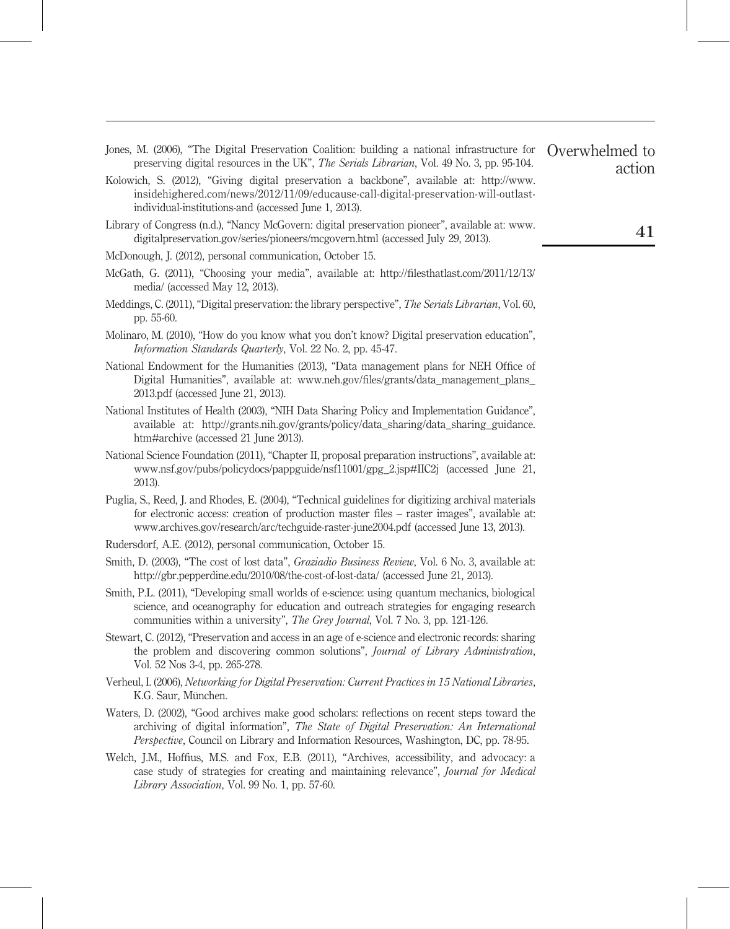- Jones, M. (2006), "The Digital Preservation Coalition: building a national infrastructure for preserving digital resources in the UK", The Serials Librarian, Vol. 49 No. 3, pp. 95-104. Overwhelmed to
- Kolowich, S. (2012), "Giving digital preservation a backbone", available at: http://www. insidehighered.com/news/2012/11/09/educause-call-digital-preservation-will-outlastindividual-institutions-and (accessed June 1, 2013).
- Library of Congress (n.d.), "Nancy McGovern: digital preservation pioneer", available at: www. digitalpreservation.gov/series/pioneers/mcgovern.html (accessed July 29, 2013).
- McDonough, J. (2012), personal communication, October 15.
- McGath, G. (2011), "Choosing your media", available at: http://filesthatlast.com/2011/12/13/ media/ (accessed May 12, 2013).
- Meddings, C. (2011), "Digital preservation: the library perspective", The Serials Librarian, Vol. 60, pp. 55-60.
- Molinaro, M. (2010), "How do you know what you don't know? Digital preservation education", Information Standards Quarterly, Vol. 22 No. 2, pp. 45-47.
- National Endowment for the Humanities (2013), "Data management plans for NEH Office of Digital Humanities", available at: www.neh.gov/files/grants/data\_management\_plans\_ 2013.pdf (accessed June 21, 2013).
- National Institutes of Health (2003), "NIH Data Sharing Policy and Implementation Guidance", available at: http://grants.nih.gov/grants/policy/data\_sharing/data\_sharing\_guidance. htm#archive (accessed 21 June 2013).
- National Science Foundation (2011), "Chapter II, proposal preparation instructions", available at: www.nsf.gov/pubs/policydocs/pappguide/nsf11001/gpg\_2.jsp#IIC2j (accessed June 21, 2013).
- Puglia, S., Reed, J. and Rhodes, E. (2004), "Technical guidelines for digitizing archival materials for electronic access: creation of production master files – raster images", available at: www.archives.gov/research/arc/techguide-raster-june2004.pdf (accessed June 13, 2013).
- Rudersdorf, A.E. (2012), personal communication, October 15.
- Smith, D. (2003), "The cost of lost data", Graziadio Business Review, Vol. 6 No. 3, available at: http://gbr.pepperdine.edu/2010/08/the-cost-of-lost-data/ (accessed June 21, 2013).
- Smith, P.L. (2011), "Developing small worlds of e-science: using quantum mechanics, biological science, and oceanography for education and outreach strategies for engaging research communities within a university", The Grey Journal, Vol. 7 No. 3, pp. 121-126.
- Stewart, C. (2012), "Preservation and access in an age of e-science and electronic records: sharing the problem and discovering common solutions", Journal of Library Administration, Vol. 52 Nos 3-4, pp. 265-278.
- Verheul, I. (2006), Networking for Digital Preservation: Current Practices in 15 National Libraries, K.G. Saur, München.
- Waters, D. (2002), "Good archives make good scholars: reflections on recent steps toward the archiving of digital information", The State of Digital Preservation: An International Perspective, Council on Library and Information Resources, Washington, DC, pp. 78-95.
- Welch, J.M., Hoffius, M.S. and Fox, E.B. (2011), "Archives, accessibility, and advocacy: a case study of strategies for creating and maintaining relevance", Journal for Medical Library Association, Vol. 99 No. 1, pp. 57-60.

action

41